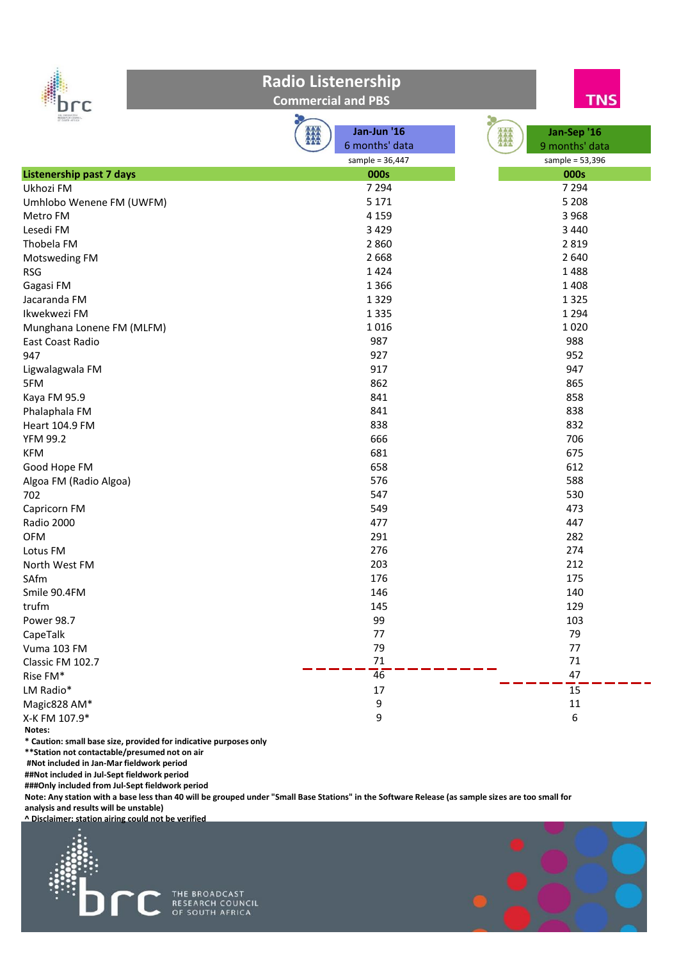

**Commercial and PBS**



| RESEARCH COUNCIL                |                   |                   |
|---------------------------------|-------------------|-------------------|
|                                 | HU<br>Jan-Jun '16 | Jan-Sep '16       |
|                                 | 6 months' data    | 9 months' data    |
|                                 | sample = $36,447$ | sample = $53,396$ |
| <b>Listenership past 7 days</b> | 000s              | 000s              |
| Ukhozi FM                       | 7 2 9 4           | 7 2 9 4           |
| Umhlobo Wenene FM (UWFM)        | 5 1 7 1           | 5 2 0 8           |
| Metro FM                        | 4 1 5 9           | 3 9 6 8           |
| Lesedi FM                       | 3 4 2 9           | 3 4 4 0           |
| Thobela FM                      | 2 8 6 0           | 2 8 1 9           |
| Motsweding FM                   | 2 6 6 8           | 2 6 4 0           |
| <b>RSG</b>                      | 1424              | 1488              |
| Gagasi FM                       | 1 3 6 6           | 1 4 0 8           |
| Jacaranda FM                    | 1 3 2 9           | 1 3 2 5           |
| Ikwekwezi FM                    | 1 3 3 5           | 1 2 9 4           |
| Munghana Lonene FM (MLFM)       | 1016              | 1020              |
| East Coast Radio                | 987               | 988               |
| 947                             | 927               | 952               |
| Ligwalagwala FM                 | 917               | 947               |
| 5FM                             | 862               | 865               |
| Kaya FM 95.9                    | 841               | 858               |
| Phalaphala FM                   | 841               | 838               |
| Heart 104.9 FM                  | 838               | 832               |
| <b>YFM 99.2</b>                 | 666               | 706               |
| <b>KFM</b>                      | 681               | 675               |
| Good Hope FM                    | 658               | 612               |
| Algoa FM (Radio Algoa)          | 576               | 588               |
| 702                             | 547               | 530               |
| Capricorn FM                    | 549               | 473               |
| Radio 2000                      | 477               | 447               |
| <b>OFM</b>                      | 291               | 282               |
| Lotus FM                        | 276               | 274               |
| North West FM                   | 203               | 212               |
| SAfm                            | 176               | 175               |
| Smile 90.4FM                    | 146               | 140               |
| trufm                           | 145               | 129               |
| Power 98.7                      | 99                | 103               |
| CapeTalk                        | 77                | 79                |
| Vuma 103 FM                     | 79                | 77                |
| Classic FM 102.7                | 71                | $71\,$            |
| Rise FM*                        | $\overline{46}$   | 47                |
| LM Radio*                       | 17                | $\overline{15}$   |
| Magic828 AM*                    | 9                 | $11\,$            |
| X-K FM 107.9*                   | 9                 | 6                 |
| Notes:                          |                   |                   |

**\* Caution: small base size, provided for indicative purposes only** 

**\*\*Station not contactable/presumed not on air**

**#Not included in Jan-Mar fieldwork period** 

**##Not included in Jul-Sept fieldwork period** 

**###Only included from Jul-Sept fieldwork period**

**Note: Any station with a base less than 40 will be grouped under "Small Base Stations" in the Software Release (as sample sizes are too small for analysis and results will be unstable)**



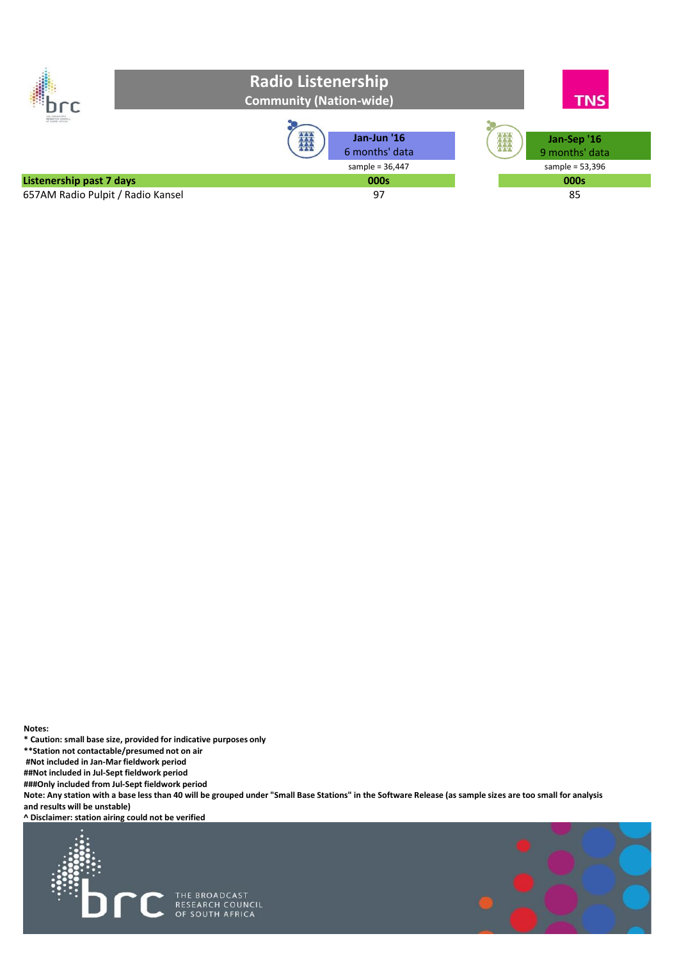

**Notes:**

**\* Caution: small base size, provided for indicative purposes only** 

**\*\*Station not contactable/presumed not on air** 

**#Not included in Jan-Mar fieldwork period** 

**##Not included in Jul-Sept fieldwork period** 

**###Only included from Jul-Sept fieldwork period** 

**Note: Any station with a base less than 40 will be grouped under "Small Base Stations" in the Software Release (as sample sizes are too small for analysis and results will be unstable)**



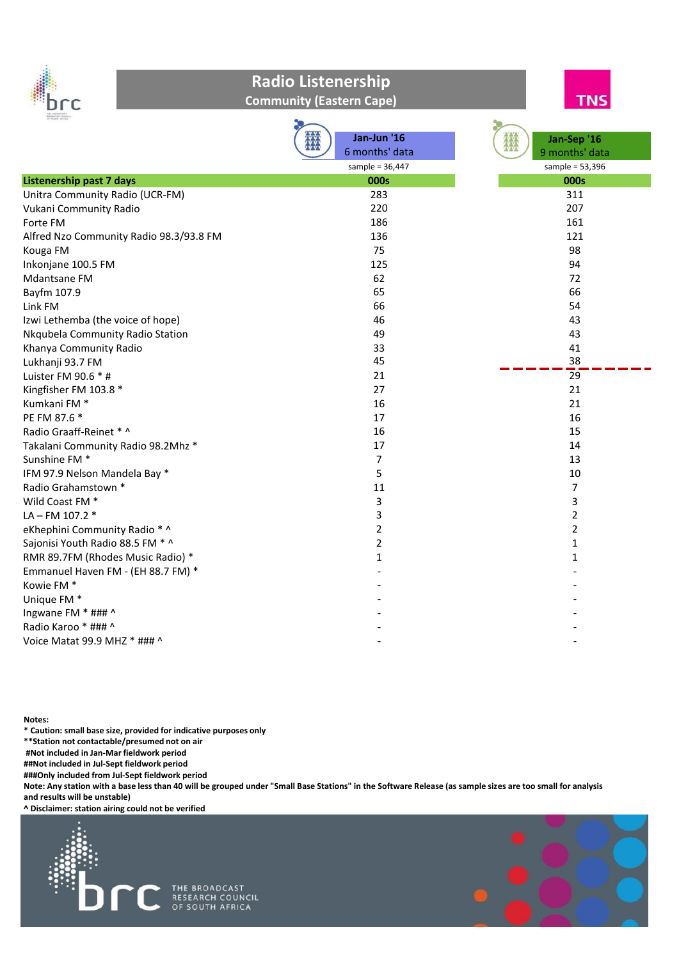

#### **Community (Eastern Cape)**



|                                         | Jan-Jun '16       | Jan-Sep '16       |
|-----------------------------------------|-------------------|-------------------|
|                                         | 6 months' data    | 9 months' data    |
|                                         | sample = $36,447$ | sample = $53,396$ |
| <b>Listenership past 7 days</b>         | 000s              | 000s              |
| Unitra Community Radio (UCR-FM)         | 283               | 311               |
| Vukani Community Radio                  | 220               | 207               |
| Forte FM                                | 186               | 161               |
| Alfred Nzo Community Radio 98.3/93.8 FM | 136               | 121               |
| Kouga FM                                | 75                | 98                |
| Inkonjane 100.5 FM                      | 125               | 94                |
| Mdantsane FM                            | 62                | 72                |
| Bayfm 107.9                             | 65                | 66                |
| Link FM                                 | 66                | 54                |
| Izwi Lethemba (the voice of hope)       | 46                | 43                |
| Nkqubela Community Radio Station        | 49                | 43                |
| Khanya Community Radio                  | 33                | 41                |
| Lukhanji 93.7 FM                        | 45                | 38                |
| Luister FM 90.6 * #                     | 21                | $\overline{29}$   |
| Kingfisher FM 103.8 *                   | 27                | 21                |
| Kumkani FM <sup>*</sup>                 | 16                | 21                |
| PE FM 87.6 *                            | 17                | 16                |
| Radio Graaff-Reinet * ^                 | 16                | 15                |
| Takalani Community Radio 98.2Mhz *      | 17                | 14                |
| Sunshine FM <sup>*</sup>                | $\overline{7}$    | 13                |
| IFM 97.9 Nelson Mandela Bay *           | 5                 | 10                |
| Radio Grahamstown *                     | 11                | $\overline{7}$    |
| Wild Coast FM <sup>*</sup>              | 3                 | 3                 |
| LA-FM 107.2 *                           | 3                 | 2                 |
| eKhephini Community Radio * ^           | 2                 | $\overline{2}$    |
| Sajonisi Youth Radio 88.5 FM * ^        | 2                 | 1                 |
| RMR 89.7FM (Rhodes Music Radio) *       | 1                 | $\mathbf{1}$      |
| Emmanuel Haven FM - (EH 88.7 FM) *      |                   |                   |
| Kowie FM <sup>*</sup>                   |                   |                   |
| Unique FM <sup>*</sup>                  |                   |                   |
| Ingwane FM * ### ^                      |                   |                   |
| Radio Karoo * ### ^                     |                   |                   |
| Voice Matat 99.9 MHZ * ### ^            |                   |                   |
|                                         |                   |                   |

**Notes:**

**\* Caution: small base size, provided for indicative purposes only** 

**\*\*Station not contactable/presumed not on air** 

**#Not included in Jan-Mar fieldwork period** 

**##Not included in Jul-Sept fieldwork period** 

**###Only included from Jul-Sept fieldwork period** 

**Note: Any station with a base less than 40 will be grouped under "Small Base Stations" in the Software Release (as sample sizes are too small for analysis and results will be unstable)**

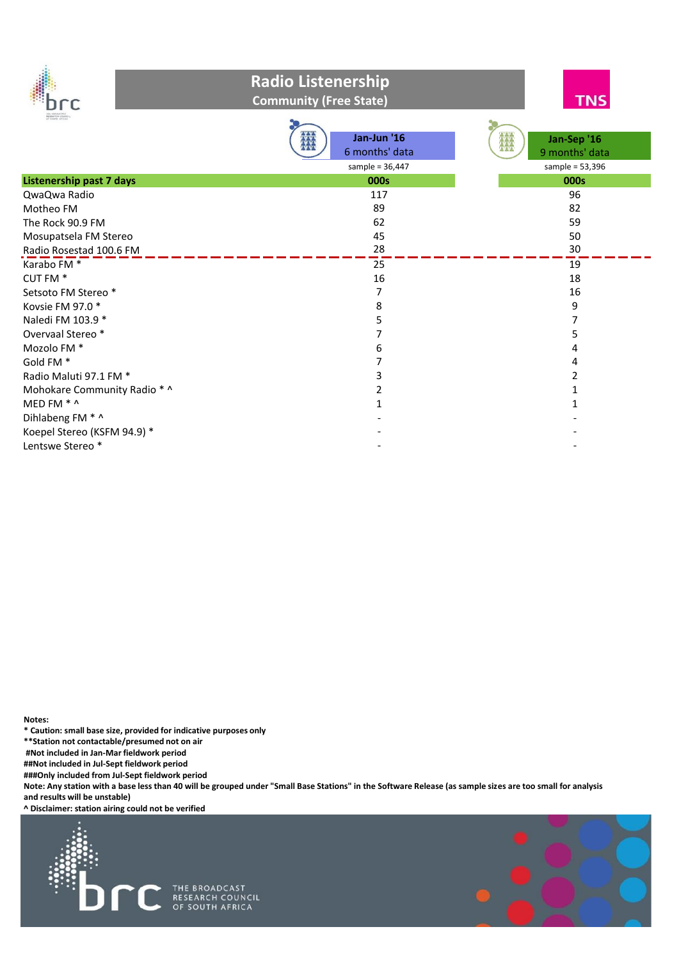

#### **Radio Listenership Community (Free State)**



|                                 | ana<br>Ana<br>Jan-Jun '16 | 撚<br>Jan-Sep '16  |
|---------------------------------|---------------------------|-------------------|
|                                 | 6 months' data            | 9 months' data    |
|                                 | sample = $36,447$         | sample = $53,396$ |
| <b>Listenership past 7 days</b> | 000s                      | 000s              |
| QwaQwa Radio                    | 117                       | 96                |
| Motheo FM                       | 89                        | 82                |
| The Rock 90.9 FM                | 62                        | 59                |
| Mosupatsela FM Stereo           | 45                        | 50                |
| Radio Rosestad 100.6 FM         | 28                        | 30                |
| Karabo FM <sup>*</sup>          | 25                        | 19                |
| CUT FM <sup>*</sup>             | 16                        | 18                |
| Setsoto FM Stereo *             |                           | 16                |
| Kovsie FM 97.0 *                | 8                         | 9                 |
| Naledi FM 103.9 *               | 5                         |                   |
| Overvaal Stereo*                |                           |                   |
| Mozolo FM <sup>*</sup>          | 6                         |                   |
| Gold FM <sup>*</sup>            |                           |                   |
| Radio Maluti 97.1 FM *          | 3                         |                   |
| Mohokare Community Radio * ^    |                           |                   |
| MED FM * ^                      |                           |                   |
| Dihlabeng FM * ^                |                           |                   |
| Koepel Stereo (KSFM 94.9) *     |                           |                   |
| Lentswe Stereo*                 |                           |                   |

**Notes:**

**\* Caution: small base size, provided for indicative purposes only** 

**\*\*Station not contactable/presumed not on air** 

**#Not included in Jan-Mar fieldwork period** 

**##Not included in Jul-Sept fieldwork period** 

**###Only included from Jul-Sept fieldwork period** 

**Note: Any station with a base less than 40 will be grouped under "Small Base Stations" in the Software Release (as sample sizes are too small for analysis and results will be unstable)**

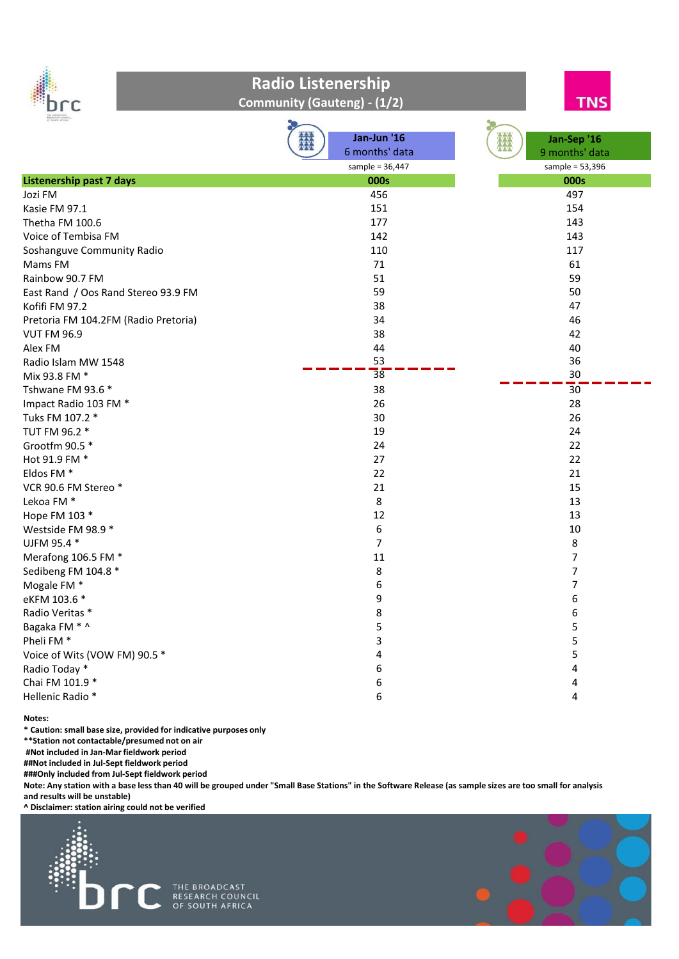

#### **Radio Listenership Community (Gauteng) - (1/2)**



| HE ENGARCINA<br><b>SESEA CO</b> COUNCIL<br>ET SEMTH AFTICA |                   |                   |
|------------------------------------------------------------|-------------------|-------------------|
|                                                            | Jan-Jun '16       | Jan-Sep '16       |
|                                                            | 6 months' data    | 9 months' data    |
|                                                            | sample = $36,447$ | sample = $53,396$ |
| <b>Listenership past 7 days</b>                            | 000s              | 000s              |
| Jozi FM                                                    | 456               | 497               |
| Kasie FM 97.1                                              | 151               | 154               |
| Thetha FM 100.6                                            | 177               | 143               |
| Voice of Tembisa FM                                        | 142               | 143               |
| Soshanguve Community Radio                                 | 110               | 117               |
| Mams FM                                                    | 71                | 61                |
| Rainbow 90.7 FM                                            | 51                | 59                |
| East Rand / Oos Rand Stereo 93.9 FM                        | 59                | 50                |
| Kofifi FM 97.2                                             | 38                | 47                |
| Pretoria FM 104.2FM (Radio Pretoria)                       | 34                | 46                |
| <b>VUT FM 96.9</b>                                         | 38                | 42                |
| Alex FM                                                    | 44                | 40                |
| Radio Islam MW 1548                                        | 53                | 36                |
| Mix 93.8 FM *                                              | $\overline{38}$   | 30                |
| Tshwane FM 93.6 *                                          | 38                | 30                |
| Impact Radio 103 FM *                                      | 26                | 28                |
| Tuks FM 107.2 *                                            | 30                | 26                |
| TUT FM 96.2 *                                              | 19                | 24                |
| Grootfm 90.5 *                                             | 24                | 22                |
| Hot 91.9 FM *                                              | 27                | 22                |
| Eldos FM <sup>*</sup>                                      | 22                | 21                |
| VCR 90.6 FM Stereo*                                        | 21                | 15                |
| Lekoa FM *                                                 | $\,8\,$           | 13                |
| Hope FM 103 *                                              | 12                | 13                |
| Westside FM 98.9 *                                         | $\boldsymbol{6}$  | 10                |
| UJFM 95.4 *                                                | $\overline{7}$    | 8                 |
| Merafong 106.5 FM *                                        | 11                | $\overline{7}$    |
| Sedibeng FM 104.8 *                                        | 8                 | 7                 |
| Mogale FM <sup>*</sup>                                     | 6                 | 7                 |
| eKFM 103.6 *                                               | 9                 | 6                 |
| Radio Veritas *                                            | 8                 | 6                 |
| Bagaka FM * ^                                              | 5                 | 5                 |
| Pheli FM <sup>*</sup>                                      | 3                 | 5                 |
| Voice of Wits (VOW FM) 90.5 *                              | 4                 | 5                 |
| Radio Today *                                              | 6                 | 4                 |
| Chai FM 101.9 *                                            | 6                 | 4                 |
| Hellenic Radio *                                           | 6                 | 4                 |

**Notes:**

**\* Caution: small base size, provided for indicative purposes only** 

**\*\*Station not contactable/presumed not on air** 

**#Not included in Jan-Mar fieldwork period** 

**##Not included in Jul-Sept fieldwork period** 

**###Only included from Jul-Sept fieldwork period** 

**Note: Any station with a base less than 40 will be grouped under "Small Base Stations" in the Software Release (as sample sizes are too small for analysis and results will be unstable)**

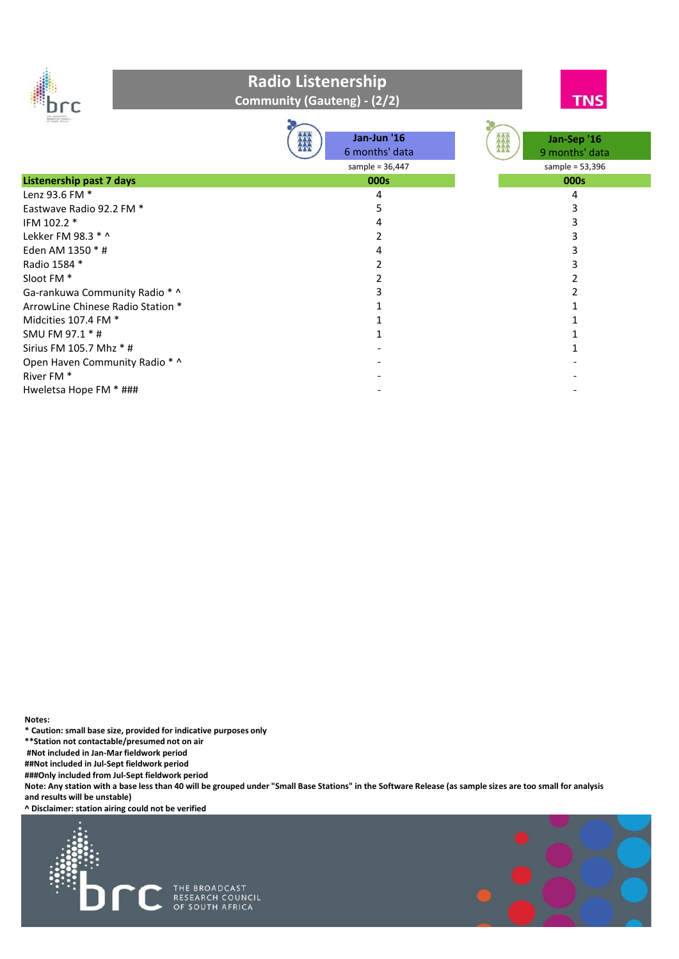

**Community (Gauteng) - (2/2)**



| <b>RESEARCH COUNCY</b><br>CP RESEN AFTICA | 鐖<br>Jan-Jun '16<br>6 months' data<br>sample = $36,447$ | Jan-Sep '16<br>瓣<br>9 months' data<br>sample = $53,396$ |
|-------------------------------------------|---------------------------------------------------------|---------------------------------------------------------|
| <b>Listenership past 7 days</b>           | 000s                                                    | 000s                                                    |
| Lenz 93.6 FM *                            | 4                                                       | 4                                                       |
| Eastwave Radio 92.2 FM *                  | 5                                                       |                                                         |
| IFM 102.2 *                               |                                                         |                                                         |
| Lekker FM 98.3 $*$ ^                      |                                                         |                                                         |
| Eden AM 1350 * #                          |                                                         |                                                         |
| Radio 1584 *                              |                                                         |                                                         |
| Sloot FM <sup>*</sup>                     |                                                         |                                                         |
| Ga-rankuwa Community Radio * ^            |                                                         |                                                         |
| ArrowLine Chinese Radio Station *         |                                                         |                                                         |
| Midcities 107.4 FM $*$                    |                                                         |                                                         |
| SMU FM 97.1 * #                           |                                                         |                                                         |
| Sirius FM 105.7 Mhz * #                   |                                                         |                                                         |
| Open Haven Community Radio * ^            |                                                         |                                                         |
| River FM <sup>*</sup>                     |                                                         |                                                         |
| Hweletsa Hope FM * ###                    |                                                         |                                                         |

**Notes:**

**\* Caution: small base size, provided for indicative purposes only** 

**\*\*Station not contactable/presumed not on air** 

**#Not included in Jan-Mar fieldwork period** 

**##Not included in Jul-Sept fieldwork period** 

**###Only included from Jul-Sept fieldwork period** 

**Note: Any station with a base less than 40 will be grouped under "Small Base Stations" in the Software Release (as sample sizes are too small for analysis and results will be unstable)**

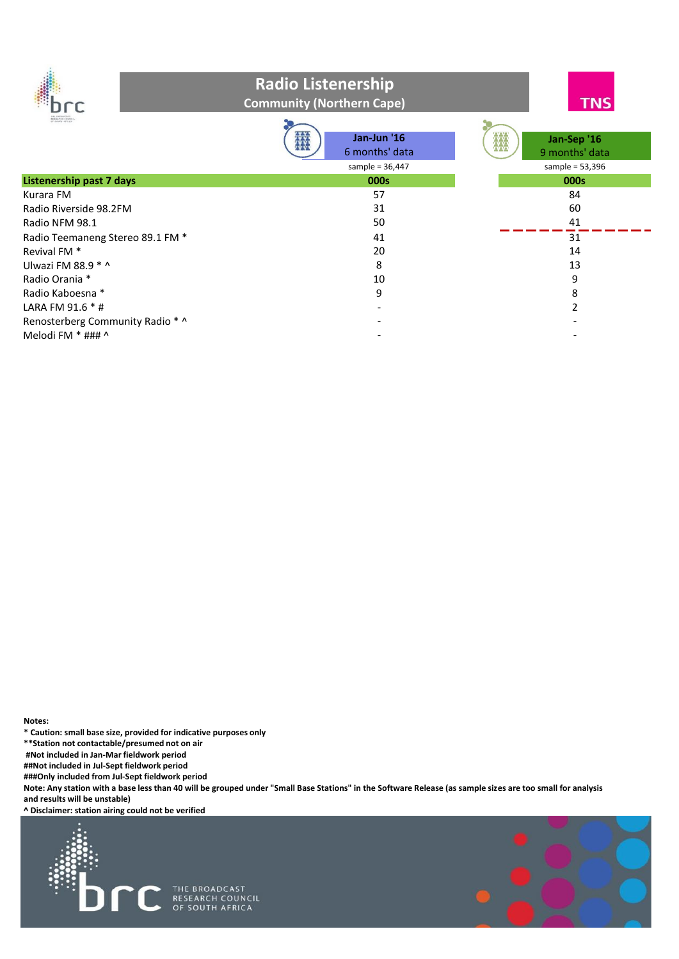

### **Radio Listenership Community (Northern Cape)**



| ET SELTS ATTER                   | EXER<br>Jan-Jun '16<br>6 months' data | ▓<br>Jan-Sep '16<br>9 months' data |
|----------------------------------|---------------------------------------|------------------------------------|
|                                  | sample = $36,447$                     | sample = $53,396$                  |
| <b>Listenership past 7 days</b>  | 000s                                  | 000s                               |
| Kurara FM                        | 57                                    | 84                                 |
| Radio Riverside 98.2FM           | 31                                    | 60                                 |
| Radio NFM 98.1                   | 50                                    | 41                                 |
| Radio Teemaneng Stereo 89.1 FM * | 41                                    | 31                                 |
| Revival FM <sup>*</sup>          | 20                                    | 14                                 |
| Ulwazi FM 88.9 $*$ ^             | 8                                     | 13                                 |
| Radio Orania *                   | 10                                    | 9                                  |
| Radio Kaboesna *                 | 9                                     | 8                                  |
| LARA FM $91.6 * #$               |                                       |                                    |
| Renosterberg Community Radio * ^ |                                       |                                    |
| Melodi FM $*$ ### ^              |                                       |                                    |

**Notes:**

**\* Caution: small base size, provided for indicative purposes only** 

**\*\*Station not contactable/presumed not on air** 

**#Not included in Jan-Mar fieldwork period** 

**##Not included in Jul-Sept fieldwork period** 

**###Only included from Jul-Sept fieldwork period** 

**Note: Any station with a base less than 40 will be grouped under "Small Base Stations" in the Software Release (as sample sizes are too small for analysis and results will be unstable)**

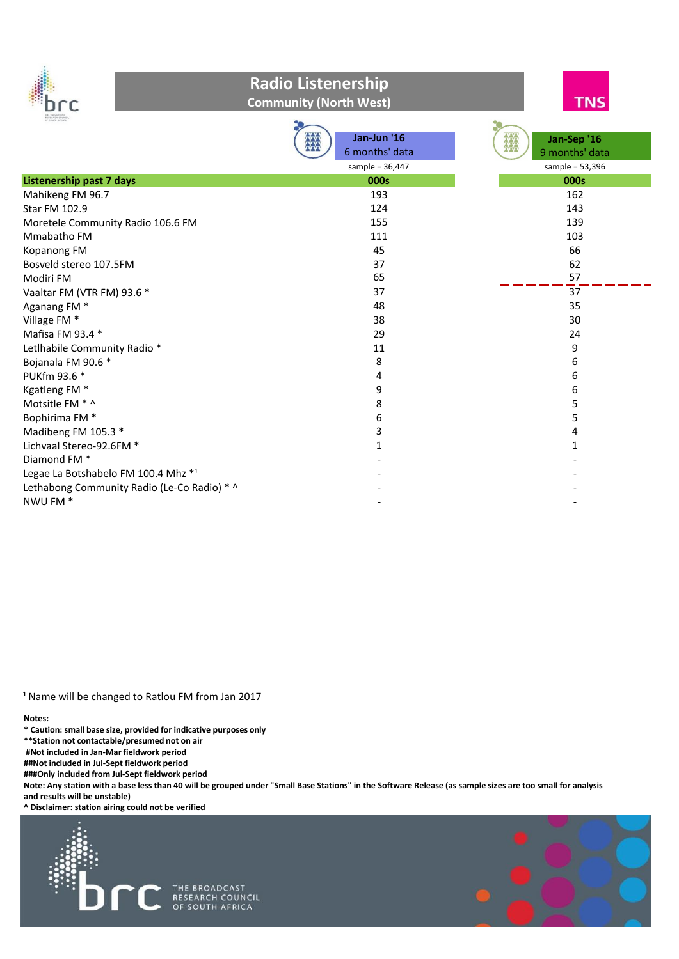

#### **Radio Listenership Community (North West)**



| <b>LE TANIF-40 (LA)</b>                     |                   |                   |
|---------------------------------------------|-------------------|-------------------|
|                                             | Jan-Jun '16       | Jan-Sep '16<br>Ж  |
|                                             | 6 months' data    | 9 months' data    |
|                                             | sample = $36,447$ | sample = $53,396$ |
| <b>Listenership past 7 days</b>             | 000s              | 000s              |
| Mahikeng FM 96.7                            | 193               | 162               |
| Star FM 102.9                               | 124               | 143               |
| Moretele Community Radio 106.6 FM           | 155               | 139               |
| Mmabatho FM                                 | 111               | 103               |
| Kopanong FM                                 | 45                | 66                |
| Bosveld stereo 107.5FM                      | 37                | 62                |
| Modiri FM                                   | 65                | 57                |
| Vaaltar FM (VTR FM) 93.6 *                  | 37                | $\overline{37}$   |
| Aganang FM <sup>*</sup>                     | 48                | 35                |
| Village FM *                                | 38                | 30                |
| Mafisa FM 93.4 *                            | 29                | 24                |
| Letlhabile Community Radio *                | 11                | 9                 |
| Bojanala FM 90.6 *                          | 8                 | 6                 |
| PUKfm 93.6 *                                | 4                 | 6                 |
| Kgatleng FM <sup>*</sup>                    | 9                 | 6                 |
| Motsitle FM * ^                             | 8                 | 5                 |
| Bophirima FM <sup>*</sup>                   | 6                 | 5                 |
| Madibeng FM 105.3 *                         | 3                 | 4                 |
| Lichvaal Stereo-92.6FM *                    | 1                 | 1                 |
| Diamond FM <sup>*</sup>                     |                   |                   |
| Legae La Botshabelo FM 100.4 Mhz *1         |                   |                   |
| Lethabong Community Radio (Le-Co Radio) * ^ |                   |                   |
| NWU FM *                                    |                   |                   |

<sup>1</sup> Name will be changed to Ratlou FM from Jan 2017

**Notes:**

**\* Caution: small base size, provided for indicative purposes only** 

**\*\*Station not contactable/presumed not on air** 

**#Not included in Jan-Mar fieldwork period** 

**##Not included in Jul-Sept fieldwork period** 

**###Only included from Jul-Sept fieldwork period** 

**Note: Any station with a base less than 40 will be grouped under "Small Base Stations" in the Software Release (as sample sizes are too small for analysis and results will be unstable)**

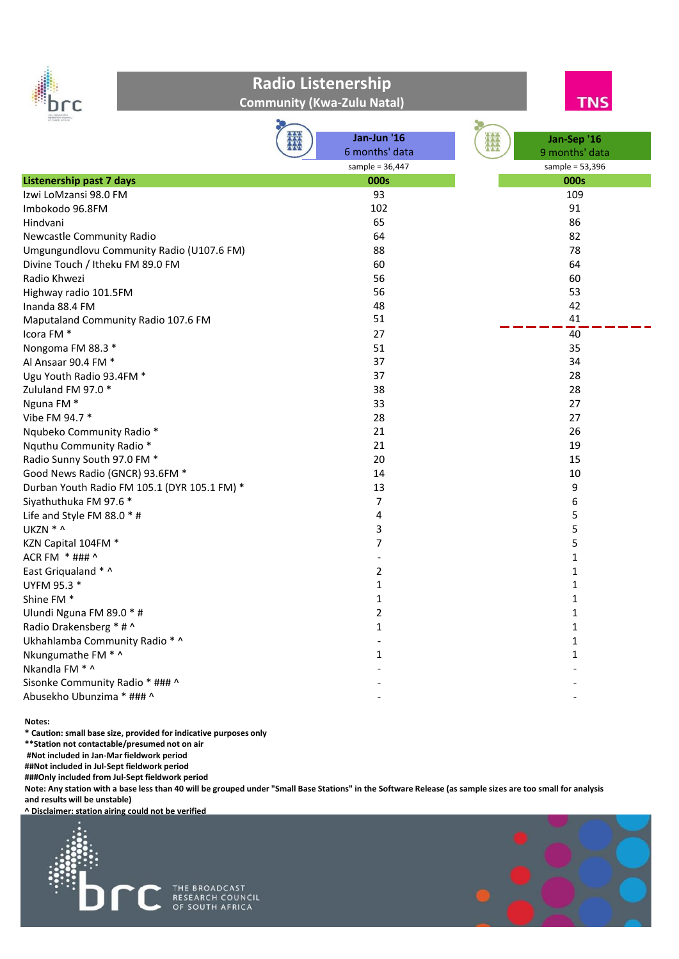

**Community (Kwa-Zulu Natal)**



| ET SEUTH ATTICA                              |                          |                   |
|----------------------------------------------|--------------------------|-------------------|
|                                              | Jan-Jun '16              | Jan-Sep '16       |
|                                              | 6 months' data           | 9 months' data    |
|                                              | sample = $36,447$        | sample = $53,396$ |
| <b>Listenership past 7 days</b>              | 000s                     | 000s              |
| Izwi LoMzansi 98.0 FM                        | 93                       | 109               |
| Imbokodo 96.8FM                              | 102                      | 91                |
| Hindvani                                     | 65                       | 86                |
| Newcastle Community Radio                    | 64                       | 82                |
| Umgungundlovu Community Radio (U107.6 FM)    | 88                       | 78                |
| Divine Touch / Itheku FM 89.0 FM             | 60                       | 64                |
| Radio Khwezi                                 | 56                       | 60                |
| Highway radio 101.5FM                        | 56                       | 53                |
| Inanda 88.4 FM                               | 48                       | 42                |
| Maputaland Community Radio 107.6 FM          | 51                       | 41                |
| Icora FM <sup>*</sup>                        | 27                       | $\overline{40}$   |
| Nongoma FM 88.3 *                            | 51                       | 35                |
| Al Ansaar 90.4 FM *                          | 37                       | 34                |
| Ugu Youth Radio 93.4FM *                     | 37                       | 28                |
| Zululand FM 97.0 *                           | 38                       | 28                |
| Nguna FM <sup>*</sup>                        | 33                       | 27                |
| Vibe FM 94.7 *                               | 28                       | 27                |
| Nqubeko Community Radio *                    | 21                       | 26                |
| Nquthu Community Radio *                     | 21                       | 19                |
| Radio Sunny South 97.0 FM *                  | 20                       | 15                |
| Good News Radio (GNCR) 93.6FM *              | 14                       | 10                |
| Durban Youth Radio FM 105.1 (DYR 105.1 FM) * | 13                       | 9                 |
| Siyathuthuka FM 97.6 *                       | $\overline{7}$           | 6                 |
| Life and Style FM 88.0 * #                   | 4                        | 5                 |
| UKZN * ^                                     | 3                        | 5                 |
| KZN Capital 104FM *                          | 7                        | 5                 |
| ACR FM * ### ^                               | $\overline{\phantom{a}}$ | 1                 |
| East Griqualand * ^                          | 2                        | $\mathbf{1}$      |
| UYFM 95.3 *                                  | $\mathbf{1}$             | $\mathbf{1}$      |
| Shine FM <sup>*</sup>                        | $\mathbf{1}$             | $\mathbf 1$       |
| Ulundi Nguna FM 89.0 * #                     | 2                        | $\mathbf{1}$      |
| Radio Drakensberg * # ^                      | $\mathbf{1}$             | $\mathbf 1$       |
| Ukhahlamba Community Radio * ^               |                          | $\mathbf{1}$      |
| Nkungumathe FM * ^                           | $\mathbf{1}$             | $\mathbf{1}$      |
| Nkandla FM * ^                               |                          |                   |
| Sisonke Community Radio * ### ^              |                          |                   |
| Abusekho Ubunzima * ### ^                    |                          |                   |
|                                              |                          |                   |

**Notes:**

**\* Caution: small base size, provided for indicative purposes only** 

**\*\*Station not contactable/presumed not on air** 

**#Not included in Jan-Mar fieldwork period** 

**##Not included in Jul-Sept fieldwork period ###Only included from Jul-Sept fieldwork period** 

**Note: Any station with a base less than 40 will be grouped under "Small Base Stations" in the Software Release (as sample sizes are too small for analysis and results will be unstable)**

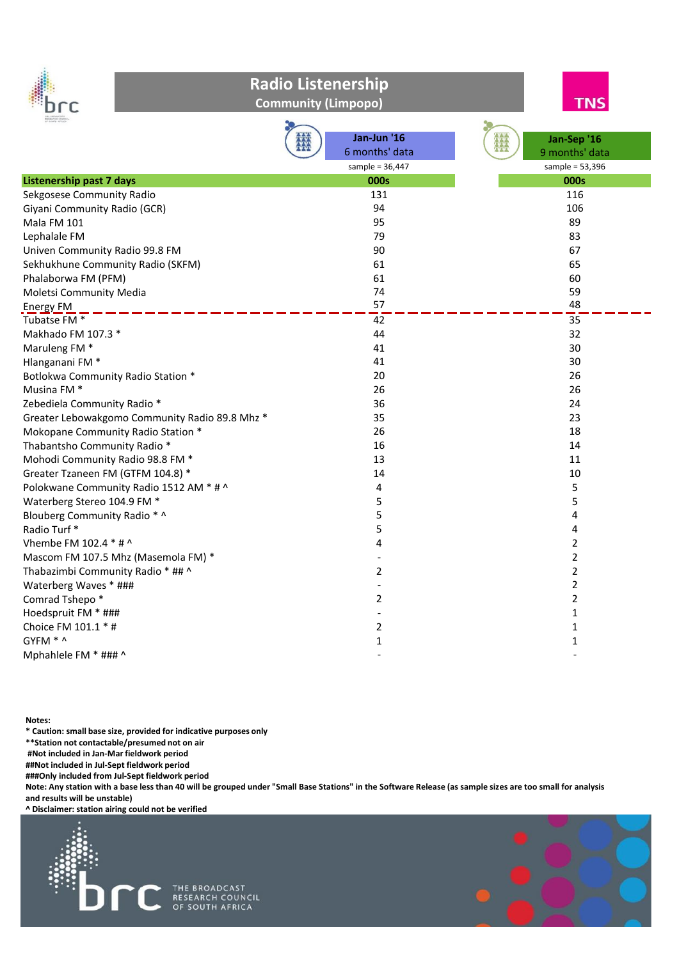



**Community (Limpopo)**

| RESEARCH COUNCIL                               |                   |                   |
|------------------------------------------------|-------------------|-------------------|
|                                                | Jan-Jun '16       | Jan-Sep '16       |
|                                                | 6 months' data    | 9 months' data    |
|                                                | sample = $36,447$ | sample = $53,396$ |
| <b>Listenership past 7 days</b>                | <b>000s</b>       | 000s              |
| Sekgosese Community Radio                      | 131               | 116               |
| Giyani Community Radio (GCR)                   | 94                | 106               |
| Mala FM 101                                    | 95                | 89                |
| Lephalale FM                                   | 79                | 83                |
| Univen Community Radio 99.8 FM                 | 90                | 67                |
| Sekhukhune Community Radio (SKFM)              | 61                | 65                |
| Phalaborwa FM (PFM)                            | 61                | 60                |
| Moletsi Community Media                        | 74                | 59                |
| <b>Energy FM</b>                               | 57                | 48                |
| Tubatse FM <sup>*</sup>                        | 42                | 35                |
| Makhado FM 107.3 *                             | 44                | 32                |
| Maruleng FM <sup>*</sup>                       | 41                | 30                |
| Hlanganani FM <sup>*</sup>                     | 41                | 30                |
| Botlokwa Community Radio Station *             | 20                | 26                |
| Musina FM <sup>*</sup>                         | 26                | 26                |
| Zebediela Community Radio *                    | 36                | 24                |
| Greater Lebowakgomo Community Radio 89.8 Mhz * | 35                | 23                |
| Mokopane Community Radio Station *             | 26                | 18                |
| Thabantsho Community Radio *                   | 16                | 14                |
| Mohodi Community Radio 98.8 FM *               | 13                | 11                |
| Greater Tzaneen FM (GTFM 104.8) *              | 14                | 10                |
| Polokwane Community Radio 1512 AM * # ^        | 4                 | 5                 |
| Waterberg Stereo 104.9 FM *                    | 5                 | 5                 |
| Blouberg Community Radio * ^                   | 5                 | 4                 |
| Radio Turf*                                    | 5                 | 4                 |
| Vhembe FM 102.4 * # ^                          | 4                 | 2                 |
| Mascom FM 107.5 Mhz (Masemola FM) *            |                   | 2                 |
| Thabazimbi Community Radio * ## ^              | 2                 | $\overline{2}$    |
| Waterberg Waves * ###                          |                   | 2                 |
| Comrad Tshepo *                                | 2                 | $\overline{2}$    |
| Hoedspruit FM * ###                            |                   | $\mathbf{1}$      |
| Choice FM 101.1 * #                            | 2                 | $\mathbf{1}$      |
| GYFM * ^                                       | 1                 | 1                 |
| Mphahlele FM * ### ^                           |                   |                   |

**Notes:**

**\* Caution: small base size, provided for indicative purposes only** 

**\*\*Station not contactable/presumed not on air** 

**#Not included in Jan-Mar fieldwork period** 

**##Not included in Jul-Sept fieldwork period** 

**###Only included from Jul-Sept fieldwork period** 

**Note: Any station with a base less than 40 will be grouped under "Small Base Stations" in the Software Release (as sample sizes are too small for analysis and results will be unstable)**

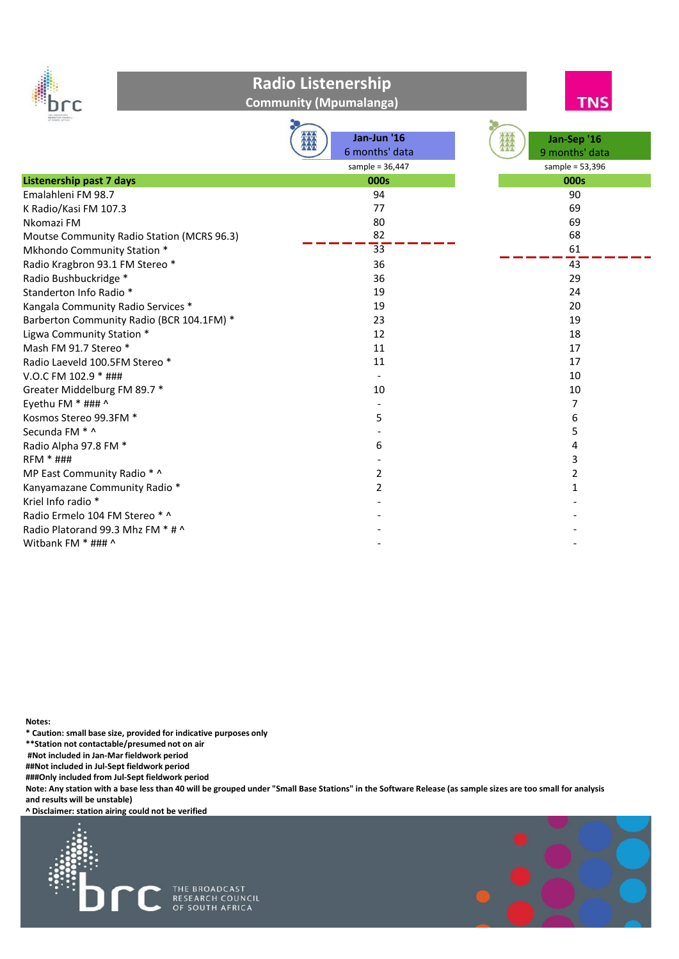

**Community (Mpumalanga)**

**TNS** 

| <b>RESEARCH COUNT</b><br>CP REUTH APTICA   |                   |                   |
|--------------------------------------------|-------------------|-------------------|
|                                            | Jan-Jun '16       | Jan-Sep '16       |
|                                            | 6 months' data    | 9 months' data    |
|                                            | sample = $36,447$ | sample = $53,396$ |
| <b>Listenership past 7 days</b>            | 000s              | 000s              |
| Emalahleni FM 98.7                         | 94                | 90                |
| K Radio/Kasi FM 107.3                      | 77                | 69                |
| Nkomazi FM                                 | 80                | 69                |
| Moutse Community Radio Station (MCRS 96.3) | 82                | 68                |
| Mkhondo Community Station *                | 33                | 61                |
| Radio Kragbron 93.1 FM Stereo *            | 36                | 43                |
| Radio Bushbuckridge *                      | 36                | 29                |
| Standerton Info Radio *                    | 19                | 24                |
| Kangala Community Radio Services *         | 19                | 20                |
| Barberton Community Radio (BCR 104.1FM) *  | 23                | 19                |
| Ligwa Community Station *                  | 12                | 18                |
| Mash FM 91.7 Stereo *                      | 11                | 17                |
| Radio Laeveld 100.5FM Stereo *             | 11                | 17                |
| V.O.C FM 102.9 * ###                       |                   | 10                |
| Greater Middelburg FM 89.7 *               | 10                | 10                |
| Eyethu FM * ### ^                          |                   | 7                 |
| Kosmos Stereo 99.3FM *                     | 5                 | 6                 |
| Secunda FM * ^                             |                   | 5                 |
| Radio Alpha 97.8 FM *                      | 6                 | 4                 |
| <b>RFM * ###</b>                           |                   | 3                 |
| MP East Community Radio * ^                | $\overline{2}$    | 2                 |
| Kanyamazane Community Radio *              | 2                 | 1                 |
| Kriel Info radio *                         |                   |                   |
| Radio Ermelo 104 FM Stereo * ^             |                   |                   |
| Radio Platorand 99.3 Mhz FM * # ^          |                   |                   |
| Witbank FM * ### ^                         |                   |                   |

**Notes:**

**\* Caution: small base size, provided for indicative purposes only** 

**\*\*Station not contactable/presumed not on air** 

**#Not included in Jan-Mar fieldwork period** 

**##Not included in Jul-Sept fieldwork period** 

**###Only included from Jul-Sept fieldwork period** 

**Note: Any station with a base less than 40 will be grouped under "Small Base Stations" in the Software Release (as sample sizes are too small for analysis and results will be unstable)**

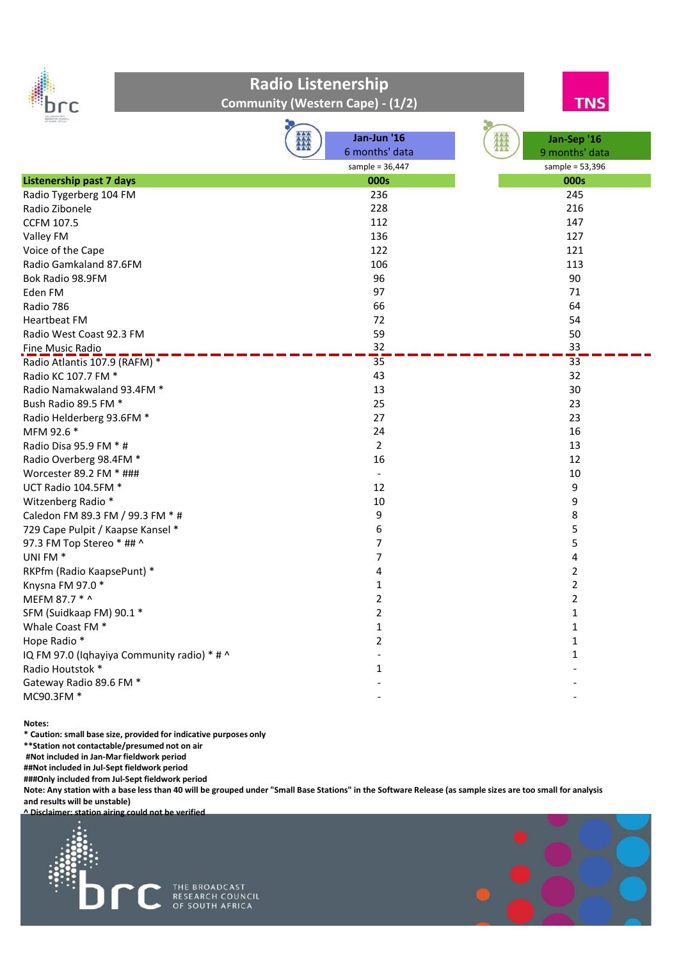



| <b>Community (Western Cape) - (1/2)</b> |  |  |  |
|-----------------------------------------|--|--|--|
|-----------------------------------------|--|--|--|

| <b>IF HOPY AFTICA</b>                       |                          |                   |
|---------------------------------------------|--------------------------|-------------------|
|                                             | Jan-Jun '16              | Jan-Sep '16       |
|                                             | 6 months' data           | 9 months' data    |
|                                             | sample = $36,447$        | sample = $53,396$ |
| <b>Listenership past 7 days</b>             | 000s                     | 000s              |
| Radio Tygerberg 104 FM                      | 236                      | 245               |
| Radio Zibonele                              | 228                      | 216               |
| <b>CCFM 107.5</b>                           | 112                      | 147               |
| Valley FM                                   | 136                      | 127               |
| Voice of the Cape                           | 122                      | 121               |
| Radio Gamkaland 87.6FM                      | 106                      | 113               |
| Bok Radio 98.9FM                            | 96                       | 90                |
| Eden FM                                     | 97                       | 71                |
| Radio 786                                   | 66                       | 64                |
| <b>Heartbeat FM</b>                         | 72                       | 54                |
| Radio West Coast 92.3 FM                    | 59                       | 50                |
| Fine Music Radio                            | 32                       | 33                |
| Radio Atlantis 107.9 (RAFM) *               | 35                       | $\overline{33}$   |
| Radio KC 107.7 FM *                         | 43                       | 32                |
| Radio Namakwaland 93.4FM *                  | 13                       | 30                |
| Bush Radio 89.5 FM *                        | 25                       | 23                |
| Radio Helderberg 93.6FM *                   | 27                       | 23                |
| MFM 92.6 *                                  | 24                       | 16                |
| Radio Disa 95.9 FM * #                      | $\overline{2}$           | 13                |
| Radio Overberg 98.4FM *                     | 16                       | 12                |
| Worcester 89.2 FM * ###                     | $\overline{\phantom{a}}$ | 10                |
| UCT Radio 104.5FM *                         | 12                       | 9                 |
| Witzenberg Radio *                          | 10                       | 9                 |
| Caledon FM 89.3 FM / 99.3 FM * #            | 9                        | 8                 |
| 729 Cape Pulpit / Kaapse Kansel *           | 6                        | 5                 |
| 97.3 FM Top Stereo * ## ^                   | $\overline{7}$           | 5                 |
| UNI FM <sup>*</sup>                         | $\overline{7}$           | 4                 |
| RKPfm (Radio KaapsePunt) *                  | 4                        | $\overline{2}$    |
| Knysna FM 97.0 *                            | $\mathbf{1}$             | $\overline{2}$    |
| MEFM 87.7 * ^                               | $\overline{2}$           | $\overline{2}$    |
| SFM (Suidkaap FM) 90.1 *                    | $\overline{2}$           | $\mathbf{1}$      |
| Whale Coast FM *                            | $\mathbf 1$              | $\mathbf{1}$      |
| Hope Radio *                                | $\overline{2}$           | $\mathbf{1}$      |
| IQ FM 97.0 (Iqhayiya Community radio) * # ^ |                          | $\mathbf{1}$      |
| Radio Houtstok *                            | $\mathbf{1}$             |                   |
| Gateway Radio 89.6 FM *                     |                          |                   |
| MC90.3FM *                                  |                          |                   |

**Notes:**

**\* Caution: small base size, provided for indicative purposes only** 

**\*\*Station not contactable/presumed not on air** 

**#Not included in Jan-Mar fieldwork period** 

**##Not included in Jul-Sept fieldwork period** 

**###Only included from Jul-Sept fieldwork period** 

**Note: Any station with a base less than 40 will be grouped under "Small Base Stations" in the Software Release (as sample sizes are too small for analysis and results will be unstable)**